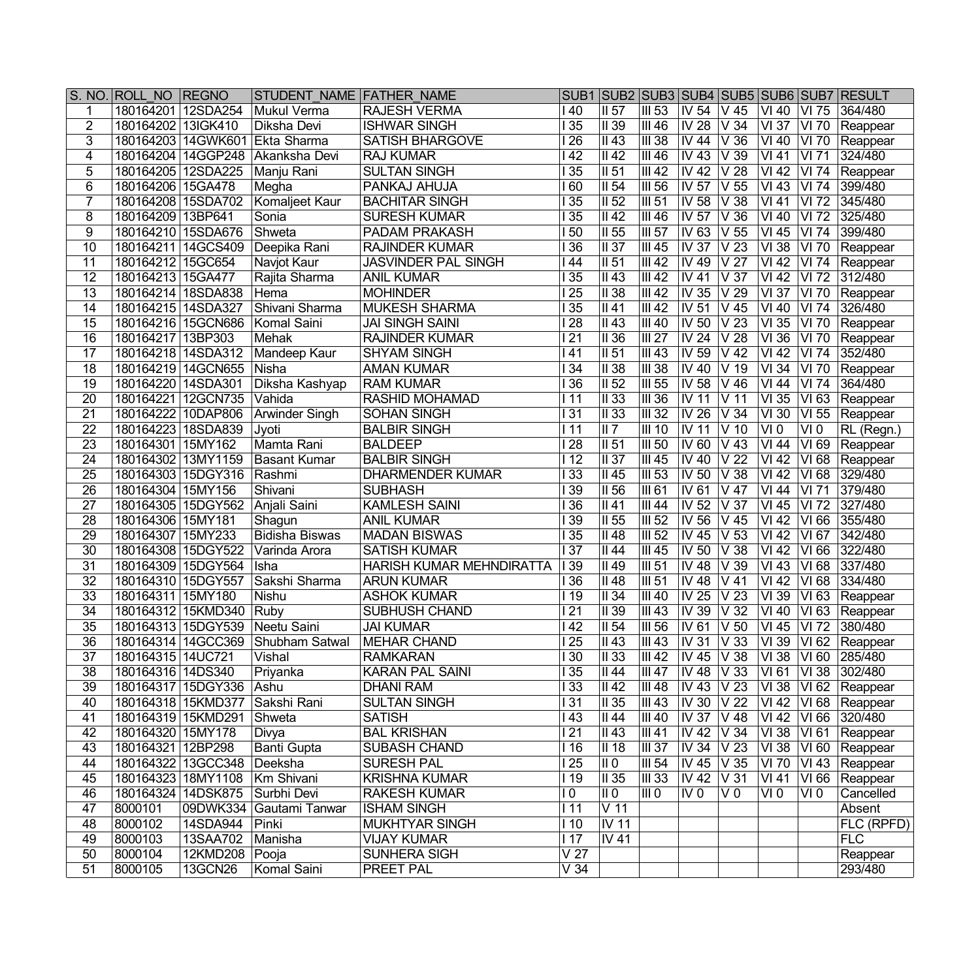|                 | S. NO. ROLL NO REGNO |                | STUDENT NAME FATHER NAME                      |                            |                      |                                         |                              |                                      |                            |                           |                    | SUB1 SUB2 SUB3 SUB4 SUB5 SUB6 SUB7 RESULT        |
|-----------------|----------------------|----------------|-----------------------------------------------|----------------------------|----------------------|-----------------------------------------|------------------------------|--------------------------------------|----------------------------|---------------------------|--------------------|--------------------------------------------------|
|                 | 180164201 12SDA254   |                | Mukul Verma                                   | <b>RAJESH VERMA</b>        | l 40                 | II 57                                   | III 53                       | $\overline{\phantom{1}}$ IV 54       | V 45                       | $\overline{\text{VI}}$ 40 | VI 75              | 364/480                                          |
| $\overline{2}$  | 180164202            | 13IGK410       | Diksha Devi                                   | <b>ISHWAR SINGH</b>        | $\overline{35}$      | $\overline{\overline{\mathsf{II}39}}$   | <b>III 46</b>                | IV 28                                | $\overline{\vee}$ 34       | $VI$ 37                   | <b>VI 70</b>       | Reappear                                         |
| 3               | 180164203            | 14GWK601       | Ekta Sharma                                   | <b>SATISH BHARGOVE</b>     | $\overline{26}$      | $\overline{\parallel 43}$               | $III$ 38                     | IV 44                                | V36                        | $\sqrt{140}$              | <b>VI 70</b>       | Reappear                                         |
| $\overline{4}$  | 180164204            | 14GGP248       | Akanksha Devi                                 | <b>RAJ KUMAR</b>           | $\overline{42}$      | $\overline{1142}$                       | <b>III 46</b>                | $\overline{\textsf{IV}}$ 43          | V39                        | $\overline{VI41}$         | $\overline{VI71}$  | 324/480                                          |
| 5               | 180164205 12SDA225   |                | Manju Rani                                    | <b>SULTAN SINGH</b>        | 35                   | $\overline{   51}$                      | $\overline{III42}$           | $\overline{\text{IV }42}$            | $\overline{\vee}$ 28       | $\overline{VI42}$         | VI 74              | Reappear                                         |
| $6\phantom{1}6$ | 180164206 15GA478    |                | Megha                                         | PANKAJ AHUJA               | $\overline{60}$      | $\overline{\overline{\mathsf{II}54}}$   | $III$ 56                     | $\overline{\textsf{IV}57}$           | $\sqrt{55}$                | <b>VI43</b>               | VI 74              | 399/480                                          |
| $\overline{7}$  | 180164208 15SDA702   |                | Komaljeet Kaur                                | <b>BACHITAR SINGH</b>      | $\overline{35}$      | $\overline{  }$ 152                     | <b>III 51</b>                | IV 58                                | V 38                       | VI 41                     | VI 72              | 345/480                                          |
| 8               | 180164209 13BP641    |                | Sonia                                         | <b>SURESH KUMAR</b>        | 35                   | II 42                                   | <b>III 46</b>                | IV 57                                | V36                        | VI 40                     | VI 72              | 325/480                                          |
| 9               | 180164210 15SDA676   |                | Shweta                                        | <b>PADAM PRAKASH</b>       | $\overline{50}$      | II 55                                   | <b>III 57</b>                | IV 63                                | V 55                       | $VI$ 45                   | VI 74              | 399/480                                          |
| 10              | 180164211 14GCS409   |                | Deepika Rani                                  | <b>RAJINDER KUMAR</b>      | $\overline{136}$     | II 37                                   | III 45                       | $\overline{IV}$ 37                   | $\overline{V}$ 23          | VI38                      | VI 70              | Reappear                                         |
| 11              | 180164212 15GC654    |                | Navjot Kaur                                   | <b>JASVINDER PAL SINGH</b> | 44                   | II 51                                   | III42                        | IV 49                                | $\overline{V}$ 27          | $VI$ 42                   | VI 74              | Reappear                                         |
| $\overline{12}$ | 180164213 15GA477    |                | Rajita Sharma                                 | <b>ANIL KUMAR</b>          | $\overline{35}$      | II 43                                   | III 42                       | <b>IV 41</b>                         | $\overline{V}$ 37          | $VI$ 42                   |                    | VI 72 312/480                                    |
| 13              | 180164214 18SDA838   |                | Hema                                          | <b>MOHINDER</b>            | $\overline{25}$      | <b>II</b> 38                            | III 42                       | $\overline{IV}$ 35                   | V 29                       | $VI$ 37                   | VI 70              | Reappear                                         |
| 14              | 180164215 14SDA327   |                | Shivani Sharma                                | <b>MUKESH SHARMA</b>       | $\overline{35}$      | II 41                                   | III 42                       | <b>IV 51</b>                         | $V$ 45                     | <b>VI 40</b>              | <b>VI 74</b>       | 326/480                                          |
| 15              | 180164216 15GCN686   |                | Komal Saini                                   | <b>JAI SINGH SAINI</b>     | $\overline{28}$      | II 43                                   | III 40                       | $\overline{IV}$ 50                   | $\overline{\vee}$ 23       | $\overline{VI}$ 35        | <b>VI 70</b>       | Reappear                                         |
| 16              | 180164217 13BP303    |                | Mehak                                         | <b>RAJINDER KUMAR</b>      | $\overline{21}$      | $\overline{  }$ 11 36                   | $\overline{III27}$           | $\overline{\mathsf{IV}}$ 24          | V <sub>28</sub>            | $\overline{VI}$ 36        | VI 70              | Reappear                                         |
| 17              | 180164218 14SDA312   |                | Mandeep Kaur                                  | <b>SHYAM SINGH</b>         | l 41                 | $\overline{\overline{\mathsf{II}51}}$   | III 43                       | $\overline{\textsf{IV}59}$           | $V$ 42                     | <b>VI42</b>               | $\overline{VI74}$  | 352/480                                          |
| 18              | 180164219 14GCN655   |                | Nisha                                         | <b>AMAN KUMAR</b>          | $\overline{34}$      | $\overline{\overline{\mathsf{II}\,38}}$ | $\overline{\mathsf{III}}$ 38 | IV 40                                | V <sub>19</sub>            | $\overline{VI}$ 34        | $\overline{VI}$ 70 | Reappear                                         |
| 19              | 180164220 14SDA301   |                | Diksha Kashyap                                | <b>RAM KUMAR</b>           | $\overline{36}$      | $\overline{\overline{\mathsf{II}52}}$   | $\overline{\textsf{III}}$ 55 | IV 58                                | $V$ 46                     | VI 44                     | VI74               | 364/480                                          |
| 20              | 180164221            | 12GCN735       | Vahida                                        | <b>RASHID MOHAMAD</b>      | 111                  | $\overline{  }$ 33                      | $\overline{III}$ 36          | IV 11                                | V <sub>11</sub>            | $VI$ 35                   | VI 63              | Reappear                                         |
| $\overline{21}$ | 180164222            | 10DAP806       | Arwinder Singh                                | <b>SOHAN SINGH</b>         | 31                   | $\overline{  }$ 33                      | $III$ 32                     | IV 26                                | V <sub>34</sub>            | VI 30                     | $VI$ 55            | Reappear                                         |
| $\overline{22}$ | 180164223 18SDA839   |                | Jyoti                                         | <b>BALBIR SINGH</b>        | l 11                 | $\overline{\mathbb{II}7}$               | $III$ 10                     | IV 11                                | $V$ 10                     | $\overline{VI}$ 0         | VI <sub>0</sub>    | $\overline{RL}$ (Regn.)                          |
| $\overline{23}$ | 180164301            | 15MY162        | Mamta Rani                                    | <b>BALDEEP</b>             | $\overline{28}$      | $\overline{\parallel}$ II 51            | $III$ 50                     | IV 60                                | $V$ 43                     | VI 44                     | $VI$ 69            | Reappear                                         |
| 24              | 180164302 13MY1159   |                | <b>Basant Kumar</b>                           | <b>BALBIR SINGH</b>        | $\overline{112}$     | II 37                                   | <b>III 45</b>                | IV 40                                | V <sub>22</sub>            | VI 42                     | VI 68              | Reappear                                         |
| $\overline{25}$ | 180164303 15DGY316   |                | Rashmi                                        | <b>DHARMENDER KUMAR</b>    | $\overline{33}$      | II 45                                   | $III$ 53                     | $\overline{\rm IV}$ 50               | V 38                       | <b>VI42</b>               | VI 68              | 329/480                                          |
| 26              | 180164304   15MY156  |                | Shivani                                       | <b>SUBHASH</b>             | $\overline{139}$     | $\overline{\overline{\mathsf{II}56}}$   | <b>III</b> 61                | IV 61                                | $\overline{V}$ 47          | VI44                      | VI 71              | $\sqrt{379/480}$                                 |
| $\overline{27}$ | 180164305 15DGY562   |                | Anjali Saini                                  | <b>KAMLESH SAINI</b>       | $\overline{136}$     | II 41                                   | <b>III 44</b>                | $\overline{N}$ 52                    | V <sub>37</sub>            | $VI$ 45                   | VI 72              | 327/480                                          |
| 28              | 180164306 15MY181    |                | Shagun                                        | <b>ANIL KUMAR</b>          | $\overline{139}$     | $\parallel$ II 55                       | $\overline{III}$ 52          | $\overline{N}$ 56                    | V 45                       | $\overline{VI}$ 42        |                    | VI 66 355/480                                    |
| 29              | 180164307 15MY233    |                | <b>Bidisha Biswas</b>                         | <b>MADAN BISWAS</b>        | $\overline{135}$     | $\overline{\overline{\mathsf{II}}}$ 48  | $\overline{III}$ 52          | <b>IV 45</b>                         | $\overline{\vee}$ 53       | $\overline{VI}$ 42        |                    | VI 67 342/480                                    |
| $\overline{30}$ | 180164308 15DGY522   |                | Varinda Arora                                 | <b>SATISH KUMAR</b>        | $\overline{37}$      | II 44                                   | III45                        | $\overline{\textsf{IV}}$ 50          | $\overline{\vee}$ 38       | $VI$ 42                   |                    | VI 66 322/480                                    |
| 31              | 180164309 15DGY564   |                | Isha                                          | HARISH KUMAR MEHNDIRATTA   | $\overline{139}$     | $\overline{\overline{\mathsf{II}}\,49}$ | III <sub>51</sub>            | $\overline{\text{IV }48}$            | V 39                       | $VI$ 43                   |                    | VI 68 337/480                                    |
| 32              | 180164310 15DGY557   |                | Sakshi Sharma                                 | <b>ARUN KUMAR</b>          | 36                   | $\overline{\overline{\mathsf{II}}}$ 48  | III <sub>51</sub>            | IV48                                 | $V$ 41                     | $VI$ 42                   |                    | VI 68 334/480                                    |
| 33              | 180164311 15MY180    |                | <b>Nishu</b>                                  | <b>ASHOK KUMAR</b>         | 119                  | II 34                                   | III 40                       | IV 25                                | V <sub>23</sub>            | $VI$ 39                   |                    | VI 63 Reappear                                   |
| 34              | 180164312 15KMD340   |                | Ruby                                          | <b>SUBHUSH CHAND</b>       | $\overline{21}$      | II 39                                   | III 43                       | IV 39                                | V <sub>32</sub>            | VI 40                     |                    | VI 63 Reappear                                   |
| 35              | 180164313 15DGY539   |                | Neetu Saini                                   | <b>JAI KUMAR</b>           | $\overline{142}$     | II <sub>54</sub>                        | $\overline{III}$ 56          | $\overline{UV}$ 61 $\overline{V}$ 50 |                            | VI 45                     |                    | VI 72 380/480                                    |
| $\overline{36}$ |                      |                | 180164314 14GCC369 Shubham Satwal MEHAR CHAND |                            | $\overline{125}$     | $\sqrt{1143}$                           |                              |                                      |                            |                           |                    | III 43   IV 31   V 33   VI 39   VI 62   Reappear |
| $\overline{37}$ | 180164315 14UC721    |                | Vishal                                        | <b>RAMKARAN</b>            | $\overline{130}$     | $\overline{  }$ 33                      | III 42                       | $\overline{IV}$ 45 $\overline{V}$ 38 |                            | VI 38                     |                    | VI 60 285/480                                    |
| 38              | 180164316 14DS340    |                | Priyanka                                      | <b>KARAN PAL SAINI</b>     | 35                   | II 44                                   | III 47                       | IV 48                                | V33                        | VI 61                     |                    | VI 38 302/480                                    |
| 39              | 180164317 15DGY336   |                | Ashu                                          | <b>DHANI RAM</b>           | 133                  | $\overline{  }$ 142                     | III 48                       | IV 43                                | $\sqrt{23}$                | VI 38                     |                    | VI 62 Reappear                                   |
| 40              | 180164318 15KMD377   |                | Sakshi Rani                                   | <b>SULTAN SINGH</b>        | 31                   | $\overline{   }$ 35                     | III 43                       | <b>IV 30</b>                         | V 22                       | VI 42                     |                    | VI 68 Reappear                                   |
| 41              | 180164319 15KMD291   |                | Shweta                                        | <b>SATISH</b>              | l 43                 | II 44                                   | III 40                       | IV 37                                | V 48                       | VI 42                     |                    | VI 66 320/480                                    |
| 42              | 180164320 15MY178    |                | Divya                                         | <b>BAL KRISHAN</b>         | l 21                 | II 43                                   | III 41                       | IV 42                                | V 34                       | $\overline{VI}$ 38        | VI 61              | Reappear                                         |
| 43              | 180164321 12BP298    |                | <b>Banti Gupta</b>                            | <b>SUBASH CHAND</b>        | 116                  | II 18                                   | III 37                       | IV 34                                | V 23                       | VI 38                     |                    | $\overline{VI}$ 60   Reappear                    |
| 44              | 180164322 13GCC348   |                | Deeksha                                       | <b>SURESH PAL</b>          | 125                  | II 0                                    | <b>III 54</b>                | IV 45                                | V 35                       | <b>VI 70</b>              |                    | $\overline{\text{VI}}$ 43   Reappear             |
| 45              | 180164323 18MY1108   |                | Km Shivani                                    | <b>KRISHNA KUMAR</b>       | 119                  | II 35                                   | III 33                       | <b>IV 42</b>                         | $\overline{\mathsf{V}}$ 31 | VI 41                     |                    | VI 66   Reappear                                 |
| 46              | 180164324 14DSK875   |                | Surbhi Devi                                   | <b>RAKESH KUMAR</b>        | l 0                  | II 0                                    | III O                        | IV 0                                 | V <sub>0</sub>             | VI 0                      | VI 0               | Cancelled                                        |
| 47              | 8000101              |                | 09DWK334 Gautami Tanwar                       | <b>ISHAM SINGH</b>         | 111                  | $\overline{V}$ 11                       |                              |                                      |                            |                           |                    | Absent                                           |
| 48              | 8000102              | 14SDA944       | Pinki                                         | <b>MUKHTYAR SINGH</b>      | 110                  | $\overline{\text{IV}}$ 11               |                              |                                      |                            |                           |                    | FLC (RPFD)                                       |
| 49              | 8000103              | 13SAA702       | Manisha                                       | <b>VIJAY KUMAR</b>         | $\overline{117}$     | $\overline{\text{IV 41}}$               |                              |                                      |                            |                           |                    | FLC                                              |
| 50              | 8000104              | 12KMD208 Pooja |                                               | <b>SUNHERA SIGH</b>        | $\overline{V}$ 27    |                                         |                              |                                      |                            |                           |                    | Reappear                                         |
| 51              | 8000105              | <b>13GCN26</b> | Komal Saini                                   | <b>PREET PAL</b>           | $\overline{\vee}$ 34 |                                         |                              |                                      |                            |                           |                    | 293/480                                          |